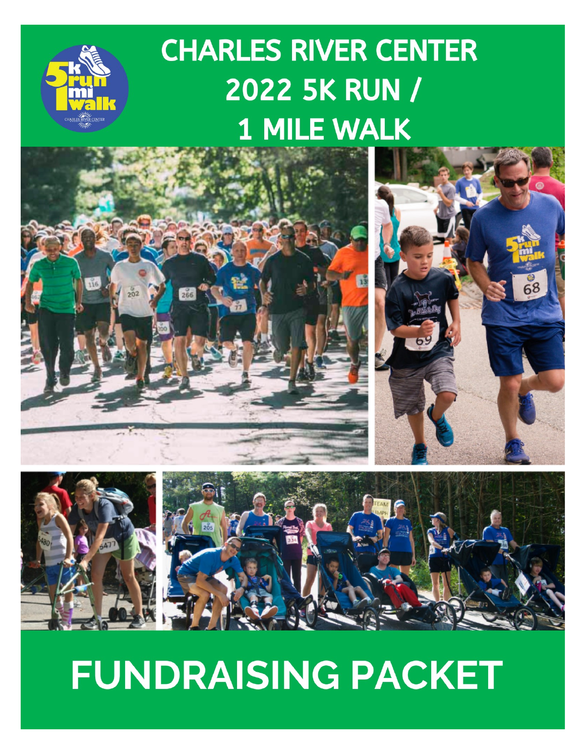# **CHARLES RIVER CENTER 2022 5K RUN / 1 MILE WALK**









# **FUNDRAISING PACKET**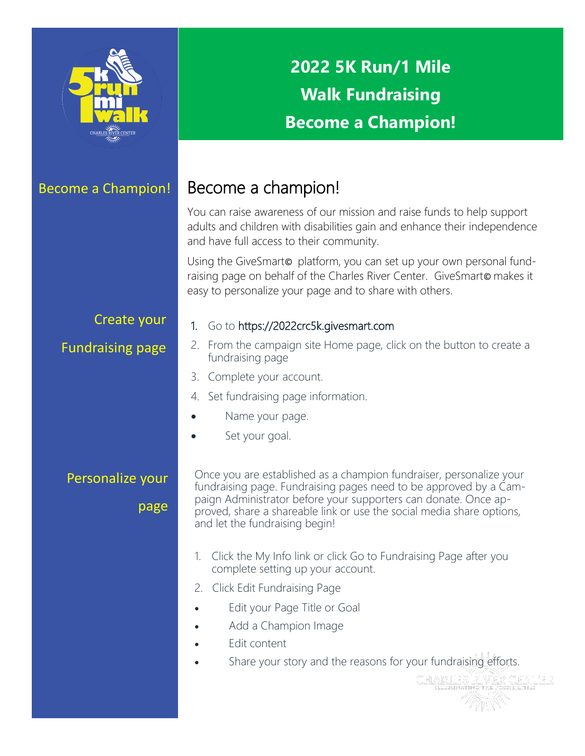

# **2022 5K Run/1 Mile Walk Fundraising Become a Champion!**

## Become a Champion! Become a champion!

You can raise awareness of our mission and raise funds to help support adults and children with disabilities gain and enhance their independence and have full access to their community.

Using the GiveSmarto platform, you can set up your own personal fundraising page on behalf of the Charles River Center. GiveSmarto makes it easy to personalize your page and to share with others.

### Create your

### Fundraising page

#### 1. Go to <https://2022crc5k.givesmart.com>

- 2. From the campaign site Home page, click on the button to create a fundraising page
- 3. Complete your account.
- 4. Set fundraising page information.
- Name your page.
- Set your goal.

## Personalize your

page

Once you are established as a champion fundraiser, personalize your fundraising page. Fundraising pages need to be approved by a Campaign Administrator before your supporters can donate. Once approved, share a shareable link or use the social media share options, and let the fundraising begin!

- 1. Click the My Info link or click Go to Fundraising Page after you complete setting up your account.
- 2. Click Edit Fundraising Page
- Edit your Page Title or Goal
- Add a Champion Image
- Edit content
- Share your story and the reasons for your fundraising efforts.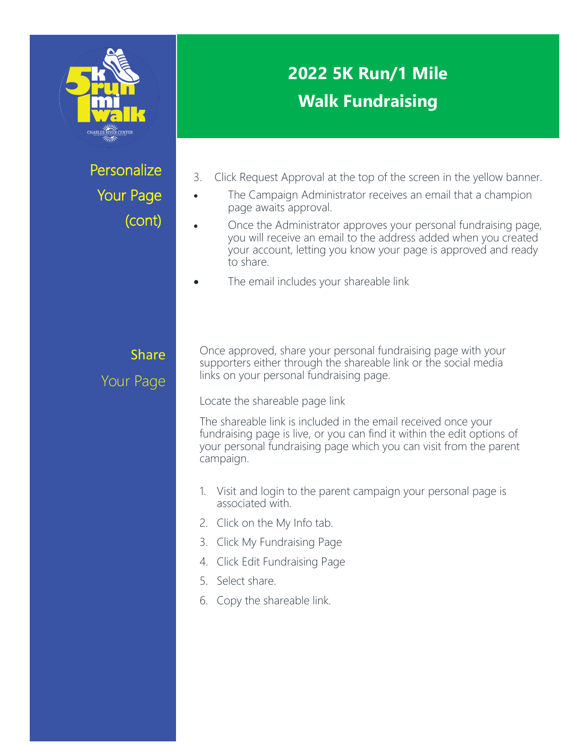

# **Personalize** Your Page (cont)

# **2022 5K Run/1 Mile Walk Fundraising**

- 3. Click Request Approval at the top of the screen in the yellow banner.
- The Campaign Administrator receives an email that a champion page awaits approval.
- Once the Administrator approves your personal fundraising page, you will receive an email to the address added when you created your account, letting you know your page is approved and ready to share.
- The email includes your shareable link

# Share Your Page

Once approved, share your personal fundraising page with your supporters either through the shareable link or the social media links on your personal fundraising page.

Locate the shareable page link

The shareable link is included in the email received once your fundraising page is live, or you can find it within the edit options of your personal fundraising page which you can visit from the parent campaign.

- 1. Visit and login to the parent campaign your personal page is associated with.
- 2. Click on the My Info tab.
- 3. Click My Fundraising Page
- 4. Click Edit Fundraising Page
- 5. Select share.
- 6. Copy the shareable link.